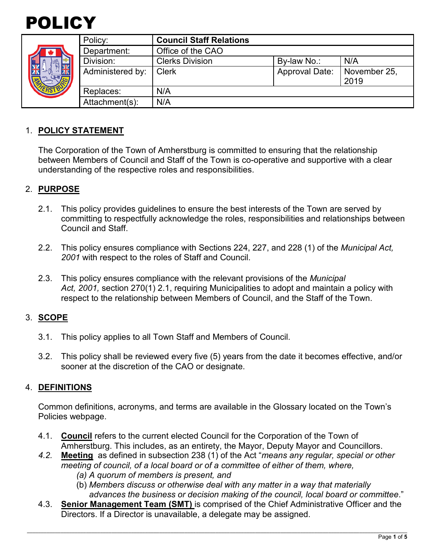

|  | Policy:          | <b>Council Staff Relations</b> |                       |                      |
|--|------------------|--------------------------------|-----------------------|----------------------|
|  | Department:      | Office of the CAO              |                       |                      |
|  | Division:        | <b>Clerks Division</b>         | By-law No.:           | N/A                  |
|  | Administered by: | <b>Clerk</b>                   | <b>Approval Date:</b> | November 25,<br>2019 |
|  | Replaces:        | N/A                            |                       |                      |
|  | Attachment(s):   | N/A                            |                       |                      |

### 1. **POLICY STATEMENT**

The Corporation of the Town of Amherstburg is committed to ensuring that the relationship between Members of Council and Staff of the Town is co-operative and supportive with a clear understanding of the respective roles and responsibilities.

### 2. **PURPOSE**

- 2.1. This policy provides guidelines to ensure the best interests of the Town are served by committing to respectfully acknowledge the roles, responsibilities and relationships between Council and Staff.
- 2.2. This policy ensures compliance with Sections 224, 227, and 228 (1) of the *Municipal Act, 2001* with respect to the roles of Staff and Council.
- 2.3. This policy ensures compliance with the relevant provisions of the *Municipal Act, 2001,* section 270(1) 2.1, requiring Municipalities to adopt and maintain a policy with respect to the relationship between Members of Council, and the Staff of the Town.

#### 3. **SCOPE**

- 3.1. This policy applies to all Town Staff and Members of Council.
- 3.2. This policy shall be reviewed every five (5) years from the date it becomes effective, and/or sooner at the discretion of the CAO or designate.

#### 4. **DEFINITIONS**

Common definitions, acronyms, and terms are available in the Glossary located on the Town's Policies webpage.

- 4.1. **Council** refers to the current elected Council for the Corporation of the Town of Amherstburg. This includes, as an entirety, the Mayor, Deputy Mayor and Councillors.
- *4.2.* **Meeting** as defined in subsection 238 (1) of the Act "*means any regular, special or other meeting of council, of a local board or of a committee of either of them, where,*
	- *(a) A quorum of members is present, and*
	- (b) *Members discuss or otherwise deal with any matter in a way that materially advances the business or decision making of the council, local board or committee*."
- 4.3. **Senior Management Team (SMT)** is comprised of the Chief Administrative Officer and the Directors. If a Director is unavailable, a delegate may be assigned.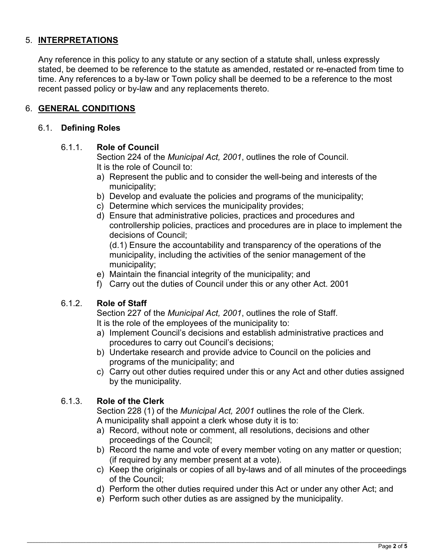# 5. **INTERPRETATIONS**

Any reference in this policy to any statute or any section of a statute shall, unless expressly stated, be deemed to be reference to the statute as amended, restated or re-enacted from time to time. Any references to a by-law or Town policy shall be deemed to be a reference to the most recent passed policy or by-law and any replacements thereto.

### 6. **GENERAL CONDITIONS**

### 6.1. **Defining Roles**

#### 6.1.1. **Role of Council**

Section 224 of the *Municipal Act, 2001*, outlines the role of Council. It is the role of Council to:

- a) Represent the public and to consider the well-being and interests of the municipality;
- b) Develop and evaluate the policies and programs of the municipality;
- c) Determine which services the municipality provides;
- d) Ensure that administrative policies, practices and procedures and controllership policies, practices and procedures are in place to implement the decisions of Council;

(d.1) Ensure the accountability and transparency of the operations of the municipality, including the activities of the senior management of the municipality;

- e) Maintain the financial integrity of the municipality; and
- f) Carry out the duties of Council under this or any other Act. 2001

#### 6.1.2. **Role of Staff**

Section 227 of the *Municipal Act, 2001*, outlines the role of Staff. It is the role of the employees of the municipality to:

- a) Implement Council's decisions and establish administrative practices and procedures to carry out Council's decisions;
- b) Undertake research and provide advice to Council on the policies and programs of the municipality; and
- c) Carry out other duties required under this or any Act and other duties assigned by the municipality.

# 6.1.3. **Role of the Clerk**

Section 228 (1) of the *Municipal Act, 2001* outlines the role of the Clerk. A municipality shall appoint a clerk whose duty it is to:

- a) Record, without note or comment, all resolutions, decisions and other proceedings of the Council;
- b) Record the name and vote of every member voting on any matter or question; (if required by any member present at a vote).
- c) Keep the originals or copies of all by-laws and of all minutes of the proceedings of the Council;
- d) Perform the other duties required under this Act or under any other Act; and
- e) Perform such other duties as are assigned by the municipality.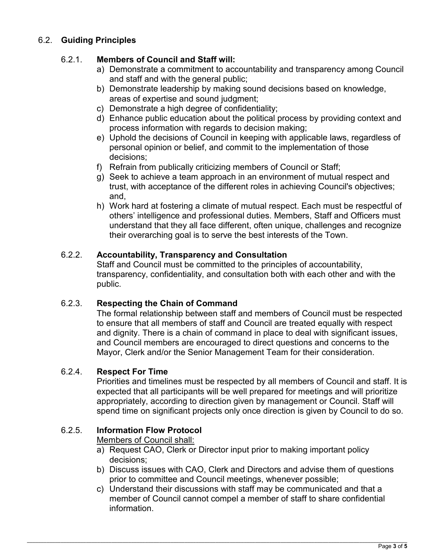# 6.2. **Guiding Principles**

# 6.2.1. **Members of Council and Staff will:**

- a) Demonstrate a commitment to accountability and transparency among Council and staff and with the general public;
- b) Demonstrate leadership by making sound decisions based on knowledge, areas of expertise and sound judgment;
- c) Demonstrate a high degree of confidentiality;
- d) Enhance public education about the political process by providing context and process information with regards to decision making;
- e) Uphold the decisions of Council in keeping with applicable laws, regardless of personal opinion or belief, and commit to the implementation of those decisions;
- f) Refrain from publically criticizing members of Council or Staff;
- g) Seek to achieve a team approach in an environment of mutual respect and trust, with acceptance of the different roles in achieving Council's objectives; and,
- h) Work hard at fostering a climate of mutual respect. Each must be respectful of others' intelligence and professional duties. Members, Staff and Officers must understand that they all face different, often unique, challenges and recognize their overarching goal is to serve the best interests of the Town.

# 6.2.2. **Accountability, Transparency and Consultation**

Staff and Council must be committed to the principles of accountability, transparency, confidentiality, and consultation both with each other and with the public.

# 6.2.3. **Respecting the Chain of Command**

The formal relationship between staff and members of Council must be respected to ensure that all members of staff and Council are treated equally with respect and dignity. There is a chain of command in place to deal with significant issues, and Council members are encouraged to direct questions and concerns to the Mayor, Clerk and/or the Senior Management Team for their consideration.

# 6.2.4. **Respect For Time**

Priorities and timelines must be respected by all members of Council and staff. It is expected that all participants will be well prepared for meetings and will prioritize appropriately, according to direction given by management or Council. Staff will spend time on significant projects only once direction is given by Council to do so.

# 6.2.5. **Information Flow Protocol**

Members of Council shall:

- a) Request CAO, Clerk or Director input prior to making important policy decisions;
- b) Discuss issues with CAO, Clerk and Directors and advise them of questions prior to committee and Council meetings, whenever possible;
- c) Understand their discussions with staff may be communicated and that a member of Council cannot compel a member of staff to share confidential information.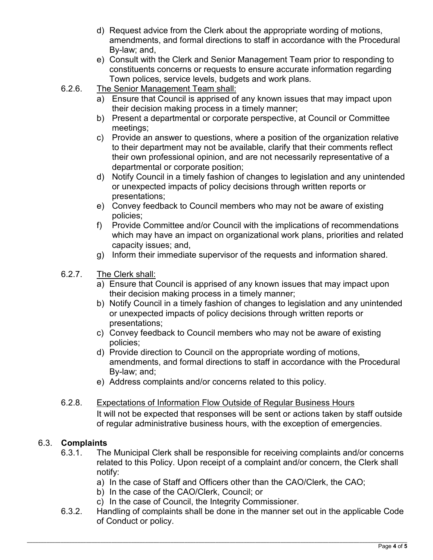- d) Request advice from the Clerk about the appropriate wording of motions, amendments, and formal directions to staff in accordance with the Procedural By-law; and,
- e) Consult with the Clerk and Senior Management Team prior to responding to constituents concerns or requests to ensure accurate information regarding Town polices, service levels, budgets and work plans.
- 6.2.6. The Senior Management Team shall:
	- a) Ensure that Council is apprised of any known issues that may impact upon their decision making process in a timely manner;
	- b) Present a departmental or corporate perspective, at Council or Committee meetings;
	- c) Provide an answer to questions, where a position of the organization relative to their department may not be available, clarify that their comments reflect their own professional opinion, and are not necessarily representative of a departmental or corporate position;
	- d) Notify Council in a timely fashion of changes to legislation and any unintended or unexpected impacts of policy decisions through written reports or presentations;
	- e) Convey feedback to Council members who may not be aware of existing policies;
	- f) Provide Committee and/or Council with the implications of recommendations which may have an impact on organizational work plans, priorities and related capacity issues; and,
	- g) Inform their immediate supervisor of the requests and information shared.
- 6.2.7. The Clerk shall:
	- a) Ensure that Council is apprised of any known issues that may impact upon their decision making process in a timely manner;
	- b) Notify Council in a timely fashion of changes to legislation and any unintended or unexpected impacts of policy decisions through written reports or presentations;
	- c) Convey feedback to Council members who may not be aware of existing policies;
	- d) Provide direction to Council on the appropriate wording of motions, amendments, and formal directions to staff in accordance with the Procedural By-law; and;
	- e) Address complaints and/or concerns related to this policy.
- 6.2.8. Expectations of Information Flow Outside of Regular Business Hours

It will not be expected that responses will be sent or actions taken by staff outside of regular administrative business hours, with the exception of emergencies.

# 6.3. **Complaints**

- 6.3.1. The Municipal Clerk shall be responsible for receiving complaints and/or concerns related to this Policy. Upon receipt of a complaint and/or concern, the Clerk shall notify:
	- a) In the case of Staff and Officers other than the CAO/Clerk, the CAO;
	- b) In the case of the CAO/Clerk, Council; or
	- c) In the case of Council, the Integrity Commissioner.
- 6.3.2. Handling of complaints shall be done in the manner set out in the applicable Code of Conduct or policy.